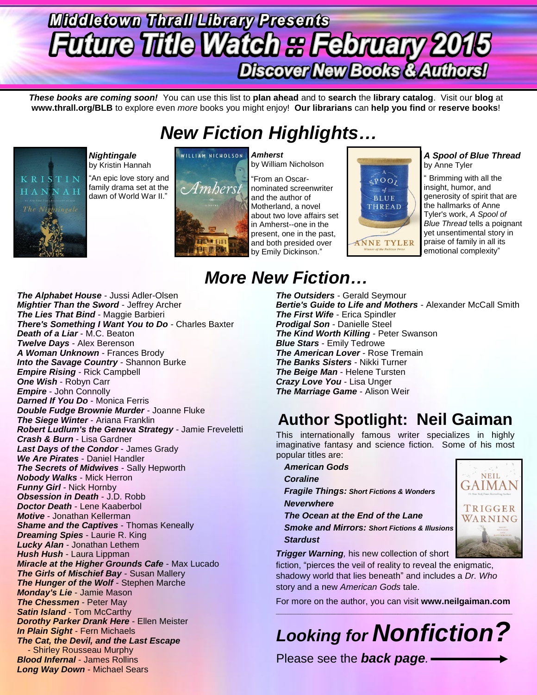# **Middletown Thrall Library Presents Future Title Watch & February 2015 Discover New Books & Authors!**

*These books are coming soon!* You can use this list to **plan ahead** and to **search** the **library catalog**. Visit our **blog** at **www.thrall.org/BLB** to explore even *more* books you might enjoy! **Our librarians** can **help you find** or **reserve books**!

## *New Fiction Highlights…*



*Nightingale*  by Kristin Hannah

"An epic love story and family drama set at the dawn of World War II."



WILLIAM NICHOLSON

by William Nicholson "From an Oscarnominated screenwriter and the author of Motherland, a novel about two love affairs set in Amherst--one in the present, one in the past, and both presided over



### *A Spool of Blue Thread* by Anne Tyler

" Brimming with all the insight, humor, and generosity of spirit that are the hallmarks of Anne Tyler's work, *A Spool of Blue Thread* tells a poignant yet unsentimental story in praise of family in all its emotional complexity"

# *More New Fiction…*

*The Alphabet House* - Jussi Adler-Olsen *Mightier Than the Sword* - Jeffrey Archer *The Lies That Bind* - Maggie Barbieri *There's Something I Want You to Do* - Charles Baxter *Death of a Liar* - M.C. Beaton *Twelve Days* - Alex Berenson *A Woman Unknown* - Frances Brody *Into the Savage Country - Shannon Burke Empire Rising* - Rick Campbell *One Wish* - Robyn Carr *Empire* - John Connolly *Darned If You Do* - Monica Ferris *Double Fudge Brownie Murder* - Joanne Fluke *The Siege Winter* - Ariana Franklin *Robert Ludlum's the Geneva Strategy* - Jamie Freveletti *Crash & Burn* - Lisa Gardner *Last Days of the Condor* - James Grady *We Are Pirates* - Daniel Handler *The Secrets of Midwives* - Sally Hepworth *Nobody Walks* - Mick Herron *Funny Girl* - Nick Hornby *Obsession in Death* - J.D. Robb *Doctor Death* - Lene Kaaberbol *Motive* - Jonathan Kellerman *Shame and the Captives* - Thomas Keneally *Dreaming Spies* - Laurie R. King *Lucky Alan* - Jonathan Lethem *Hush Hush* - Laura Lippman *Miracle at the Higher Grounds Cafe* - Max Lucado *The Girls of Mischief Bay* - Susan Mallery *The Hunger of the Wolf* - Stephen Marche *Monday's Lie* - Jamie Mason *The Chessmen* - Peter May **Satin Island** - Tom McCarthy *Dorothy Parker Drank Here* - Ellen Meister *In Plain Sight* - Fern Michaels *The Cat, the Devil, and the Last Escape* - Shirley Rousseau Murphy *Blood Infernal* - James Rollins *Long Way Down* - Michael Sears

*The Outsiders* - Gerald Seymour *Bertie's Guide to Life and Mothers* - Alexander McCall Smith *The First Wife* - Erica Spindler *Prodigal Son* - Danielle Steel *The Kind Worth Killing* - Peter Swanson *Blue Stars* - Emily Tedrowe *The American Lover* - Rose Tremain *The Banks Sisters* - Nikki Turner *The Beige Man* - Helene Tursten *Crazy Love You* - Lisa Unger *The Marriage Game* - Alison Weir

### **Author Spotlight: Neil Gaiman**

This internationally famous writer specializes in highly imaginative fantasy and science fiction. Some of his most popular titles are:

*American Gods Coraline Fragile Things: Short Fictions & Wonders Neverwhere The Ocean at the End of the Lane Smoke and Mirrors: Short Fictions & Illusions Stardust*



*Trigger Warning,* his new collection of short

fiction, "pierces the veil of reality to reveal the enigmatic, shadowy world that lies beneath" and includes a *Dr. Who* story and a new *American Gods* tale.

For more on the author, you can visit **www.neilgaiman.com** \_\_\_\_\_\_\_\_\_\_\_\_\_\_\_\_\_\_\_\_\_\_\_\_\_\_\_\_\_\_\_\_\_\_\_\_\_\_\_\_\_\_\_\_\_\_\_\_\_\_\_\_\_\_\_\_\_\_\_\_\_\_\_\_\_\_\_\_\_\_\_\_\_\_\_\_\_\_\_\_\_\_\_\_\_\_\_\_\_\_\_\_\_\_\_\_\_

# *Looking for Nonfiction?*

Please see the *back page.*